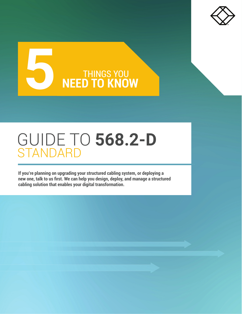

# **5 THINGS YOU REED TO KNOW**

## GUIDE TO **568.2-D** STANDARD

**If you're planning on upgrading your structured cabling system, or deploying a new one, talk to us first. We can help you design, deploy, and manage a structured cabling solution that enables your digital transformation.**